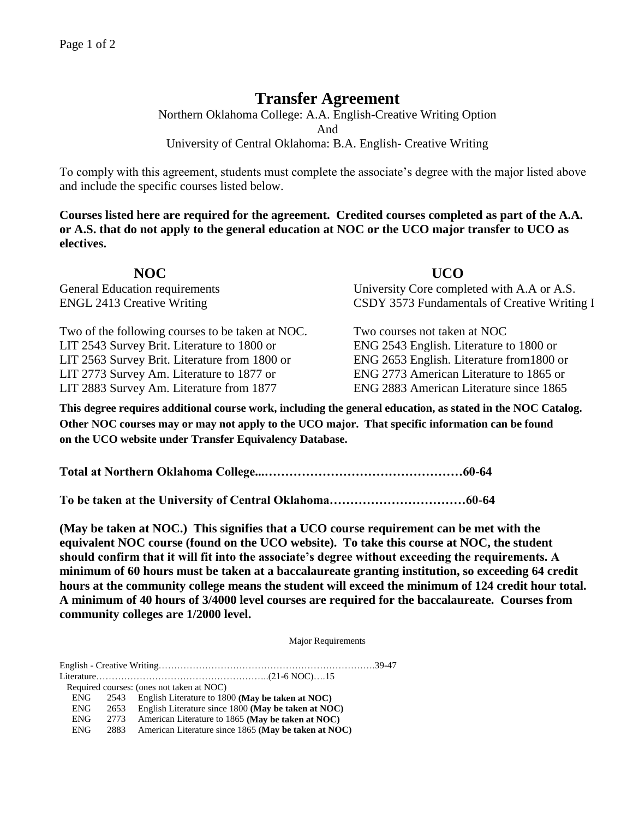## **Transfer Agreement**

Northern Oklahoma College: A.A. English-Creative Writing Option And University of Central Oklahoma: B.A. English- Creative Writing

To comply with this agreement, students must complete the associate's degree with the major listed above and include the specific courses listed below.

**Courses listed here are required for the agreement. Credited courses completed as part of the A.A. or A.S. that do not apply to the general education at NOC or the UCO major transfer to UCO as electives.**

| NOC                                   | <b>UCO</b>                                   |
|---------------------------------------|----------------------------------------------|
| <b>General Education requirements</b> | University Core completed with A.A or A.S.   |
| <b>ENGL 2413 Creative Writing</b>     | CSDY 3573 Fundamentals of Creative Writing I |

Two of the following courses to be taken at NOC. Two courses not taken at NOC LIT 2543 Survey Brit. Literature to 1800 or ENG 2543 English. Literature to 1800 or LIT 2563 Survey Brit. Literature from 1800 or ENG 2653 English. Literature from1800 or LIT 2773 Survey Am. Literature to 1877 or ENG 2773 American Literature to 1865 or LIT 2883 Survey Am. Literature from 1877 ENG 2883 American Literature since 1865

**This degree requires additional course work, including the general education, as stated in the NOC Catalog. Other NOC courses may or may not apply to the UCO major. That specific information can be found on the UCO website under Transfer Equivalency Database.**

**Total at Northern Oklahoma College...…………………………………………60-64**

**To be taken at the University of Central Oklahoma……………………………60-64**

**(May be taken at NOC.) This signifies that a UCO course requirement can be met with the equivalent NOC course (found on the UCO website). To take this course at NOC, the student should confirm that it will fit into the associate's degree without exceeding the requirements. A minimum of 60 hours must be taken at a baccalaureate granting institution, so exceeding 64 credit hours at the community college means the student will exceed the minimum of 124 credit hour total. A minimum of 40 hours of 3/4000 level courses are required for the baccalaureate. Courses from community colleges are 1/2000 level.**

Major Requirements

English - Creative Writing…………………………………………………………….39-47 Literature………………………………………………..(21-6 NOC)….15

Required courses: (ones not taken at NOC)

- ENG 2653 English Literature since 1800 **(May be taken at NOC)**
- ENG 2773 American Literature to 1865 **(May be taken at NOC)**
- ENG 2883 American Literature since 1865 **(May be taken at NOC)**

ENG 2543 English Literature to 1800 **(May be taken at NOC)**